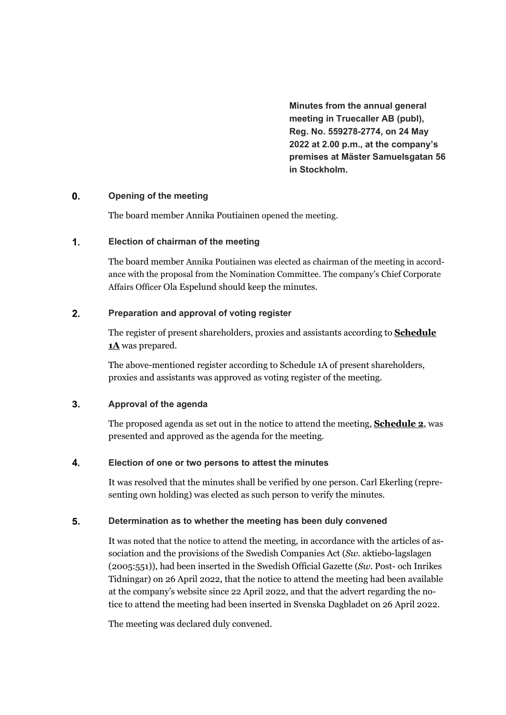**Minutes from the annual general meeting in Truecaller AB (publ), Reg. No. 559278-2774, on 24 May 2022 at 2.00 p.m., at the company's premises at Mäster Samuelsgatan 56 in Stockholm.**

### $\mathbf{0}$ . **Opening of the meeting**

The board member Annika Poutiainen opened the meeting.

### $1.$ **Election of chairman of the meeting**

The board member Annika Poutiainen was elected as chairman of the meeting in accordance with the proposal from the Nomination Committee. The company's Chief Corporate Affairs Officer Ola Espelund should keep the minutes.

### $2.$ **Preparation and approval of voting register**

The register of present shareholders, proxies and assistants according to **Schedule 1A** was prepared.

The above-mentioned register according to Schedule 1A of present shareholders, proxies and assistants was approved as voting register of the meeting.

### $3.$ **Approval of the agenda**

The proposed agenda as set out in the notice to attend the meeting, **Schedule 2**, was presented and approved as the agenda for the meeting.

### $\overline{\mathbf{4}}$ . **Election of one or two persons to attest the minutes**

It was resolved that the minutes shall be verified by one person. Carl Ekerling (representing own holding) was elected as such person to verify the minutes.

### 5. **Determination as to whether the meeting has been duly convened**

It was noted that the notice to attend the meeting, in accordance with the articles of association and the provisions of the Swedish Companies Act (*Sw*. aktiebo-lagslagen (2005:551)), had been inserted in the Swedish Official Gazette (*Sw*. Post- och Inrikes Tidningar) on 26 April 2022, that the notice to attend the meeting had been available at the company's website since 22 April 2022, and that the advert regarding the notice to attend the meeting had been inserted in Svenska Dagbladet on 26 April 2022.

The meeting was declared duly convened.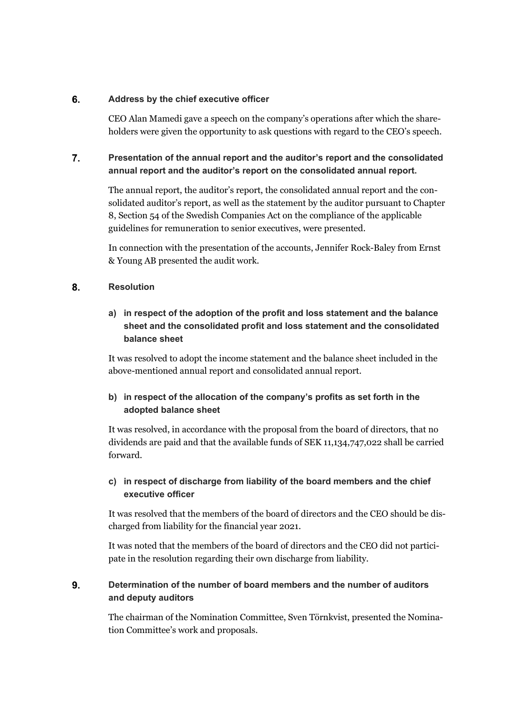### 6. **Address by the chief executive officer**

CEO Alan Mamedi gave a speech on the company's operations after which the shareholders were given the opportunity to ask questions with regard to the CEO's speech.

### $\overline{7}$ . **Presentation of the annual report and the auditor's report and the consolidated annual report and the auditor's report on the consolidated annual report.**

The annual report, the auditor's report, the consolidated annual report and the consolidated auditor's report, as well as the statement by the auditor pursuant to Chapter 8, Section 54 of the Swedish Companies Act on the compliance of the applicable guidelines for remuneration to senior executives, were presented.

In connection with the presentation of the accounts, Jennifer Rock-Baley from Ernst & Young AB presented the audit work.

### 8. **Resolution**

# **a) in respect of the adoption of the profit and loss statement and the balance sheet and the consolidated profit and loss statement and the consolidated balance sheet**

It was resolved to adopt the income statement and the balance sheet included in the above-mentioned annual report and consolidated annual report.

# **b) in respect of the allocation of the company's profits as set forth in the adopted balance sheet**

It was resolved, in accordance with the proposal from the board of directors, that no dividends are paid and that the available funds of SEK 11,134,747,022 shall be carried forward.

## **c) in respect of discharge from liability of the board members and the chief executive officer**

It was resolved that the members of the board of directors and the CEO should be discharged from liability for the financial year 2021.

It was noted that the members of the board of directors and the CEO did not participate in the resolution regarding their own discharge from liability.

### 9. **Determination of the number of board members and the number of auditors and deputy auditors**

The chairman of the Nomination Committee, Sven Törnkvist, presented the Nomination Committee's work and proposals.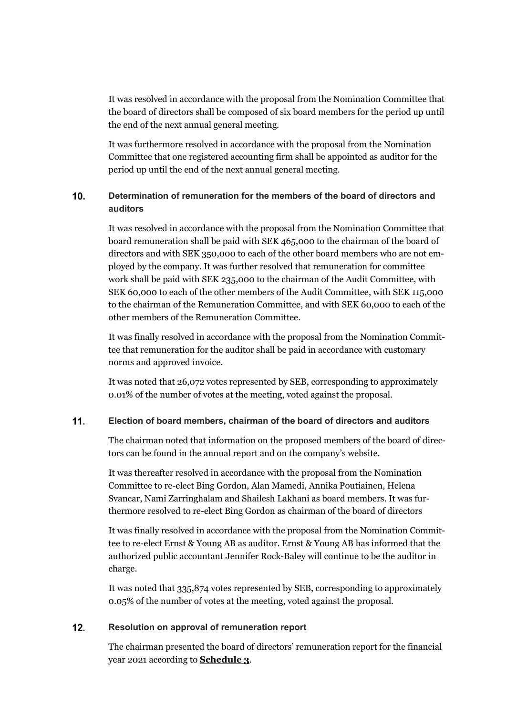It was resolved in accordance with the proposal from the Nomination Committee that the board of directors shall be composed of six board members for the period up until the end of the next annual general meeting.

It was furthermore resolved in accordance with the proposal from the Nomination Committee that one registered accounting firm shall be appointed as auditor for the period up until the end of the next annual general meeting.

### $10.$ **Determination of remuneration for the members of the board of directors and auditors**

It was resolved in accordance with the proposal from the Nomination Committee that board remuneration shall be paid with SEK 465,000 to the chairman of the board of directors and with SEK 350,000 to each of the other board members who are not employed by the company. It was further resolved that remuneration for committee work shall be paid with SEK 235,000 to the chairman of the Audit Committee, with SEK 60,000 to each of the other members of the Audit Committee, with SEK 115,000 to the chairman of the Remuneration Committee, and with SEK 60,000 to each of the other members of the Remuneration Committee.

It was finally resolved in accordance with the proposal from the Nomination Committee that remuneration for the auditor shall be paid in accordance with customary norms and approved invoice.

It was noted that 26,072 votes represented by SEB, corresponding to approximately 0.01% of the number of votes at the meeting, voted against the proposal.

### $11.$ **Election of board members, chairman of the board of directors and auditors**

The chairman noted that information on the proposed members of the board of directors can be found in the annual report and on the company's website.

It was thereafter resolved in accordance with the proposal from the Nomination Committee to re-elect Bing Gordon, Alan Mamedi, Annika Poutiainen, Helena Svancar, Nami Zarringhalam and Shailesh Lakhani as board members. It was furthermore resolved to re-elect Bing Gordon as chairman of the board of directors

It was finally resolved in accordance with the proposal from the Nomination Committee to re-elect Ernst & Young AB as auditor. Ernst & Young AB has informed that the authorized public accountant Jennifer Rock-Baley will continue to be the auditor in charge.

It was noted that 335,874 votes represented by SEB, corresponding to approximately 0.05% of the number of votes at the meeting, voted against the proposal.

### $12.$ **Resolution on approval of remuneration report**

The chairman presented the board of directors' remuneration report for the financial year 2021 according to **Schedule 3**.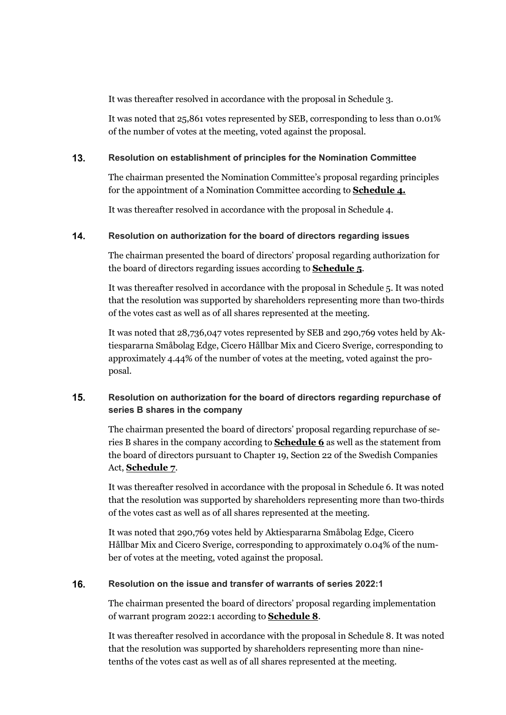It was thereafter resolved in accordance with the proposal in Schedule 3.

It was noted that 25,861 votes represented by SEB, corresponding to less than 0.01% of the number of votes at the meeting, voted against the proposal.

### $13.$ **Resolution on establishment of principles for the Nomination Committee**

The chairman presented the Nomination Committee's proposal regarding principles for the appointment of a Nomination Committee according to **Schedule 4.**

It was thereafter resolved in accordance with the proposal in Schedule 4.

### $14.$ **Resolution on authorization for the board of directors regarding issues**

The chairman presented the board of directors' proposal regarding authorization for the board of directors regarding issues according to **Schedule 5**.

It was thereafter resolved in accordance with the proposal in Schedule 5. It was noted that the resolution was supported by shareholders representing more than two-thirds of the votes cast as well as of all shares represented at the meeting.

It was noted that 28,736,047 votes represented by SEB and 290,769 votes held by Aktiespararna Småbolag Edge, Cicero Hållbar Mix and Cicero Sverige, corresponding to approximately 4.44% of the number of votes at the meeting, voted against the proposal.

### $15.$ **Resolution on authorization for the board of directors regarding repurchase of series B shares in the company**

The chairman presented the board of directors' proposal regarding repurchase of series B shares in the company according to **Schedule 6** as well as the statement from the board of directors pursuant to Chapter 19, Section 22 of the Swedish Companies Act, **Schedule 7**.

It was thereafter resolved in accordance with the proposal in Schedule 6. It was noted that the resolution was supported by shareholders representing more than two-thirds of the votes cast as well as of all shares represented at the meeting.

It was noted that 290,769 votes held by Aktiespararna Småbolag Edge, Cicero Hållbar Mix and Cicero Sverige, corresponding to approximately 0.04% of the number of votes at the meeting, voted against the proposal.

### **Resolution on the issue and transfer of warrants of series 2022:1** 16.

The chairman presented the board of directors' proposal regarding implementation of warrant program 2022:1 according to **Schedule 8**.

It was thereafter resolved in accordance with the proposal in Schedule 8. It was noted that the resolution was supported by shareholders representing more than ninetenths of the votes cast as well as of all shares represented at the meeting.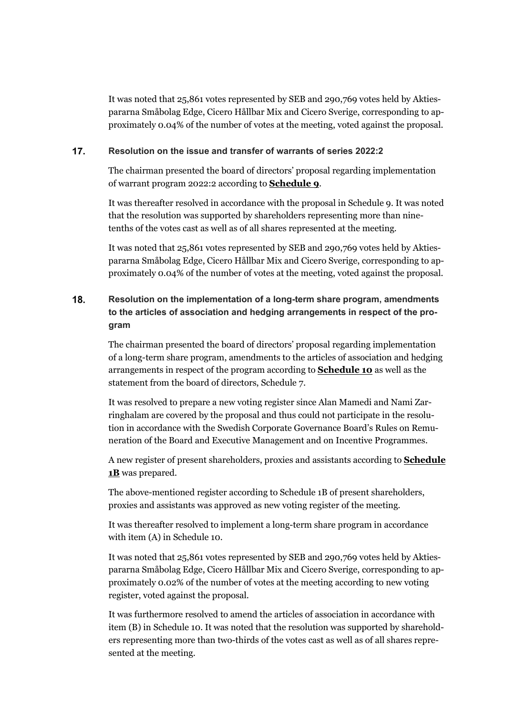It was noted that 25,861 votes represented by SEB and 290,769 votes held by Aktiespararna Småbolag Edge, Cicero Hållbar Mix and Cicero Sverige, corresponding to approximately 0.04% of the number of votes at the meeting, voted against the proposal.

#### $17.$ **Resolution on the issue and transfer of warrants of series 2022:2**

The chairman presented the board of directors' proposal regarding implementation of warrant program 2022:2 according to **Schedule 9**.

It was thereafter resolved in accordance with the proposal in Schedule 9. It was noted that the resolution was supported by shareholders representing more than ninetenths of the votes cast as well as of all shares represented at the meeting.

It was noted that 25,861 votes represented by SEB and 290,769 votes held by Aktiespararna Småbolag Edge, Cicero Hållbar Mix and Cicero Sverige, corresponding to approximately 0.04% of the number of votes at the meeting, voted against the proposal.

## 18. **Resolution on the implementation of a long-term share program, amendments to the articles of association and hedging arrangements in respect of the program**

The chairman presented the board of directors' proposal regarding implementation of a long-term share program, amendments to the articles of association and hedging arrangements in respect of the program according to **Schedule 10** as well as the statement from the board of directors, Schedule 7.

It was resolved to prepare a new voting register since Alan Mamedi and Nami Zarringhalam are covered by the proposal and thus could not participate in the resolution in accordance with the Swedish Corporate Governance Board's Rules on Remuneration of the Board and Executive Management and on Incentive Programmes.

A new register of present shareholders, proxies and assistants according to **Schedule 1B** was prepared.

The above-mentioned register according to Schedule 1B of present shareholders, proxies and assistants was approved as new voting register of the meeting.

It was thereafter resolved to implement a long-term share program in accordance with item (A) in Schedule 10.

It was noted that 25,861 votes represented by SEB and 290,769 votes held by Aktiespararna Småbolag Edge, Cicero Hållbar Mix and Cicero Sverige, corresponding to approximately 0.02% of the number of votes at the meeting according to new voting register, voted against the proposal.

It was furthermore resolved to amend the articles of association in accordance with item (B) in Schedule 10. It was noted that the resolution was supported by shareholders representing more than two-thirds of the votes cast as well as of all shares represented at the meeting.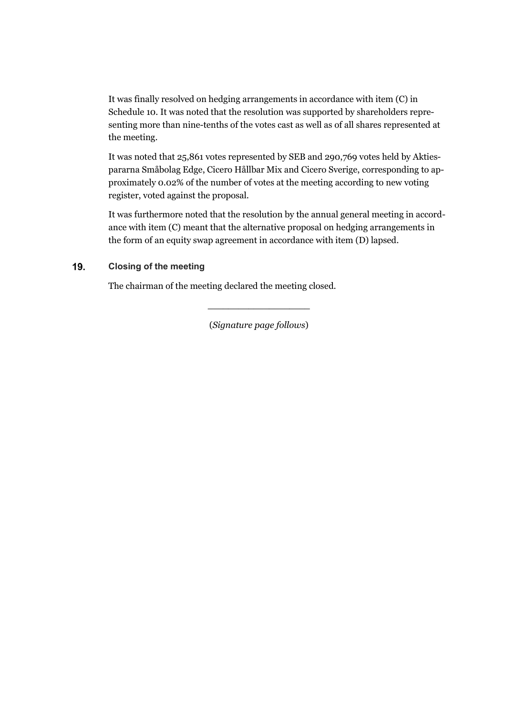It was finally resolved on hedging arrangements in accordance with item (C) in Schedule 10. It was noted that the resolution was supported by shareholders representing more than nine-tenths of the votes cast as well as of all shares represented at the meeting.

It was noted that 25,861 votes represented by SEB and 290,769 votes held by Aktiespararna Småbolag Edge, Cicero Hållbar Mix and Cicero Sverige, corresponding to approximately 0.02% of the number of votes at the meeting according to new voting register, voted against the proposal.

It was furthermore noted that the resolution by the annual general meeting in accordance with item (C) meant that the alternative proposal on hedging arrangements in the form of an equity swap agreement in accordance with item (D) lapsed.

### 19. **Closing of the meeting**

The chairman of the meeting declared the meeting closed.

(*Signature page follows*)

**\_\_\_\_\_\_\_\_\_\_\_\_\_\_\_\_\_\_\_\_**